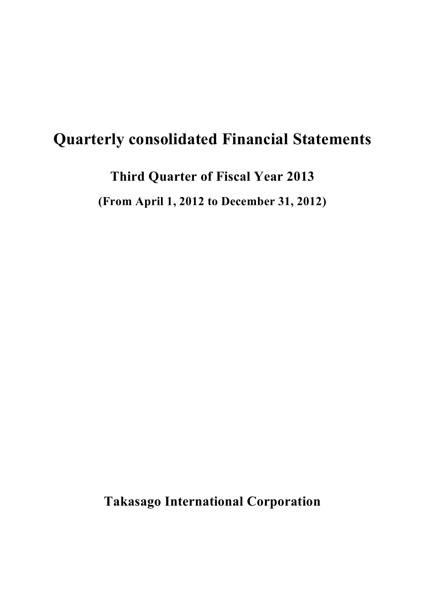# **Quarterly consolidated Financial Statements**

**Third Quarter of Fiscal Year 2013**

**(From April 1, 2012 to December 31, 2012)**

**Takasago International Corporation**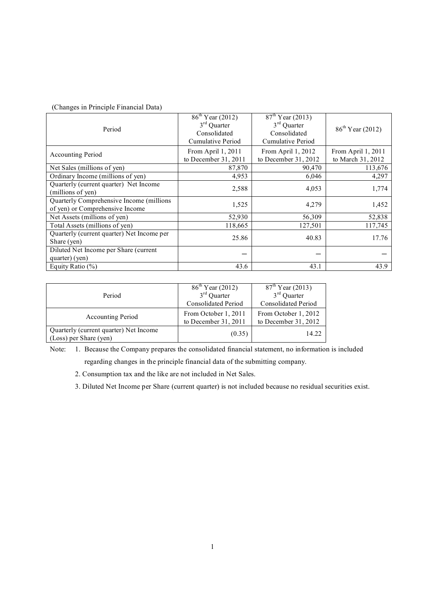| (Changes in Principle Financial Data) |  |  |  |
|---------------------------------------|--|--|--|
|---------------------------------------|--|--|--|

| Period                                                                      | $86^{th}$ Year (2012)<br>$3rd$ Quarter<br>Consolidated<br>Cumulative Period | $87th$ Year (2013)<br>$3rd$ Quarter<br>Consolidated<br>Cumulative Period | $86^{\text{th}}$ Year (2012)            |
|-----------------------------------------------------------------------------|-----------------------------------------------------------------------------|--------------------------------------------------------------------------|-----------------------------------------|
| <b>Accounting Period</b>                                                    | From April 1, 2011<br>to December 31, 2011                                  | From April 1, 2012<br>to December 31, 2012                               | From April 1, 2011<br>to March 31, 2012 |
| Net Sales (millions of yen)                                                 | 87,870                                                                      | 90,470                                                                   | 113,676                                 |
| Ordinary Income (millions of yen)                                           | 4,953                                                                       | 6,046                                                                    | 4,297                                   |
| Quarterly (current quarter) Net Income<br>(millions of yen)                 | 2,588                                                                       | 4,053                                                                    | 1,774                                   |
| Quarterly Comprehensive Income (millions<br>of yen) or Comprehensive Income | 1,525                                                                       | 4,279                                                                    | 1,452                                   |
| Net Assets (millions of yen)                                                | 52,930                                                                      | 56,309                                                                   | 52,838                                  |
| Total Assets (millions of yen)                                              | 118,665                                                                     | 127,501                                                                  | 117,745                                 |
| Quarterly (current quarter) Net Income per<br>Share (yen)                   | 25.86                                                                       | 40.83                                                                    | 17.76                                   |
| Diluted Net Income per Share (current<br>quarter) (yen)                     |                                                                             |                                                                          |                                         |
| Equity Ratio $(\% )$                                                        | 43.6                                                                        | 43.1                                                                     | 43.9                                    |

|                                                                  | $86^{\text{th}}$ Year (2012)                   | $87th$ Year (2013)                             |
|------------------------------------------------------------------|------------------------------------------------|------------------------------------------------|
| Period                                                           | $3rd$ Quarter                                  | $3rd$ Quarter                                  |
|                                                                  | <b>Consolidated Period</b>                     | <b>Consolidated Period</b>                     |
| <b>Accounting Period</b>                                         | From October 1, 2011<br>to December $31, 2011$ | From October 1, 2012<br>to December $31, 2012$ |
| Quarterly (current quarter) Net Income<br>(Loss) per Share (yen) | (0.35)                                         | 14.22                                          |

Note: 1. Because the Company prepares the consolidated financial statement, no information is included

regarding changes in the principle financial data of the submitting company.

2. Consumption tax and the like are not included in Net Sales.

3. Diluted Net Income per Share (current quarter) is not included because no residual securities exist.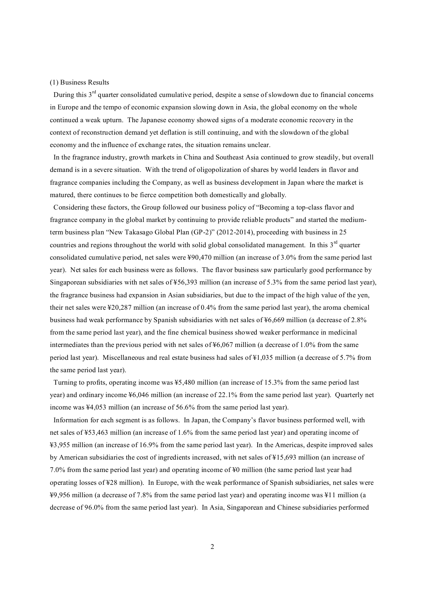### (1) Business Results

During this 3<sup>rd</sup> quarter consolidated cumulative period, despite a sense of slowdown due to financial concerns in Europe and the tempo of economic expansion slowing down in Asia, the global economy on the whole continued a weak upturn. The Japanese economy showed signs of a moderate economic recovery in the context of reconstruction demand yet deflation is still continuing, and with the slowdown of the global economy and the influence of exchange rates, the situation remains unclear.

 In the fragrance industry, growth markets in China and Southeast Asia continued to grow steadily, but overall demand is in a severe situation. With the trend of oligopolization of shares by world leaders in flavor and fragrance companies including the Company, as well as business development in Japan where the market is matured, there continues to be fierce competition both domestically and globally.

 Considering these factors, the Group followed our business policy of "Becoming a top-class flavor and fragrance company in the global market by continuing to provide reliable products" and started the mediumterm business plan "New Takasago Global Plan (GP-2)" (2012-2014), proceeding with business in 25 countries and regions throughout the world with solid global consolidated management. In this  $3<sup>rd</sup>$  quarter consolidated cumulative period, net sales were ¥90,470 million (an increase of 3.0% from the same period last year). Net sales for each business were as follows. The flavor business saw particularly good performance by Singaporean subsidiaries with net sales of ¥56,393 million (an increase of 5.3% from the same period last year), the fragrance business had expansion in Asian subsidiaries, but due to the impact of the high value of the yen, their net sales were ¥20,287 million (an increase of 0.4% from the same period last year), the aroma chemical business had weak performance by Spanish subsidiaries with net sales of ¥6,669 million (a decrease of 2.8% from the same period last year), and the fine chemical business showed weaker performance in medicinal intermediates than the previous period with net sales of ¥6,067 million (a decrease of 1.0% from the same period last year). Miscellaneous and real estate business had sales of ¥1,035 million (a decrease of 5.7% from the same period last year).

 Turning to profits, operating income was ¥5,480 million (an increase of 15.3% from the same period last year) and ordinary income ¥6,046 million (an increase of 22.1% from the same period last year). Quarterly net income was ¥4,053 million (an increase of 56.6% from the same period last year).

 Information for each segment is as follows. In Japan, the Company's flavor business performed well, with net sales of ¥53,463 million (an increase of 1.6% from the same period last year) and operating income of ¥3,955 million (an increase of 16.9% from the same period last year). In the Americas, despite improved sales by American subsidiaries the cost of ingredients increased, with net sales of ¥15,693 million (an increase of 7.0% from the same period last year) and operating income of ¥0 million (the same period last year had operating losses of ¥28 million). In Europe, with the weak performance of Spanish subsidiaries, net sales were ¥9,956 million (a decrease of 7.8% from the same period last year) and operating income was ¥11 million (a decrease of 96.0% from the same period last year). In Asia, Singaporean and Chinese subsidiaries performed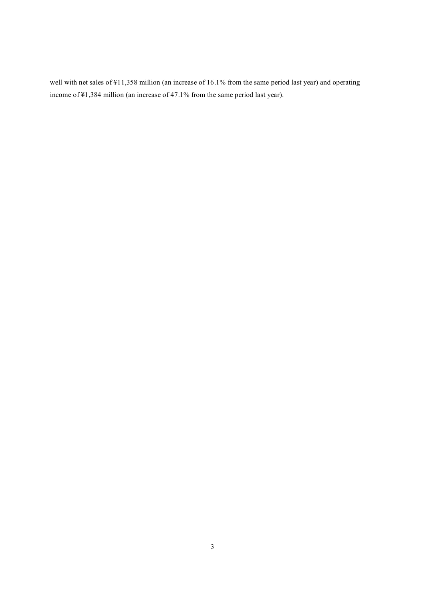well with net sales of ¥11,358 million (an increase of 16.1% from the same period last year) and operating income of ¥1,384 million (an increase of 47.1% from the same period last year).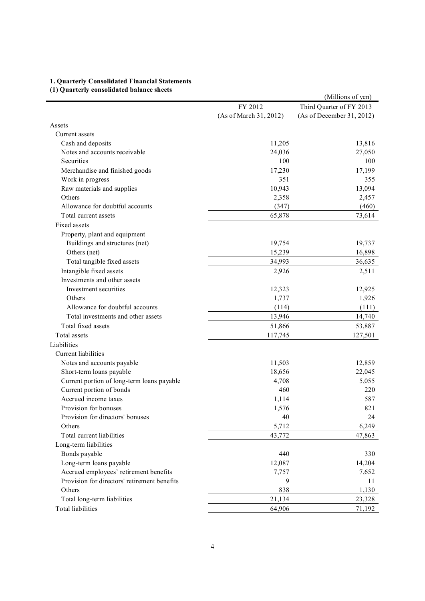## **1. Quarterly Consolidated Financial Statements**

# **(1) Quarterly consolidated balance sheets**

| (1) Quarterly consonuated balance sheets     |                        | (Millions of yen)         |
|----------------------------------------------|------------------------|---------------------------|
|                                              | FY 2012                | Third Quarter of FY 2013  |
|                                              | (As of March 31, 2012) | (As of December 31, 2012) |
| Assets                                       |                        |                           |
| Current assets                               |                        |                           |
| Cash and deposits                            | 11,205                 | 13,816                    |
| Notes and accounts receivable                | 24,036                 | 27,050                    |
| Securities                                   | 100                    | 100                       |
| Merchandise and finished goods               | 17,230                 | 17,199                    |
| Work in progress                             | 351                    | 355                       |
| Raw materials and supplies                   | 10,943                 | 13,094                    |
| Others                                       | 2,358                  | 2,457                     |
| Allowance for doubtful accounts              | (347)                  | (460)                     |
| Total current assets                         | 65,878                 | 73,614                    |
| Fixed assets                                 |                        |                           |
| Property, plant and equipment                |                        |                           |
| Buildings and structures (net)               | 19,754                 | 19,737                    |
| Others (net)                                 | 15,239                 | 16,898                    |
| Total tangible fixed assets                  | 34,993                 | 36,635                    |
| Intangible fixed assets                      | 2,926                  | 2,511                     |
| Investments and other assets                 |                        |                           |
| Investment securities                        | 12,323                 | 12,925                    |
| Others                                       | 1,737                  | 1,926                     |
| Allowance for doubtful accounts              | (114)                  | (111)                     |
| Total investments and other assets           | 13,946                 | 14,740                    |
| Total fixed assets                           | 51,866                 | 53,887                    |
| Total assets                                 | 117,745                | 127,501                   |
| Liabilities                                  |                        |                           |
| Current liabilities                          |                        |                           |
| Notes and accounts payable                   | 11,503                 | 12,859                    |
| Short-term loans payable                     | 18,656                 | 22,045                    |
| Current portion of long-term loans payable   | 4,708                  | 5,055                     |
| Current portion of bonds                     | 460                    | 220                       |
| Accrued income taxes                         | 1,114                  | 587                       |
| Provision for bonuses                        | 1,576                  | 821                       |
| Provision for directors' bonuses             | 40                     | 24                        |
| Others                                       | 5,712                  | 6,249                     |
| Total current liabilities                    | 43,772                 | 47,863                    |
|                                              |                        |                           |
| Long-term liabilities                        |                        |                           |
| Bonds payable                                | 440                    | 330                       |
| Long-term loans payable                      | 12,087                 | 14,204                    |
| Accrued employees' retirement benefits       | 7,757                  | 7,652                     |
| Provision for directors' retirement benefits | 9                      | 11                        |
| Others                                       | 838                    | 1,130                     |
| Total long-term liabilities                  | 21,134                 | 23,328                    |
| Total liabilities                            | 64,906                 | 71,192                    |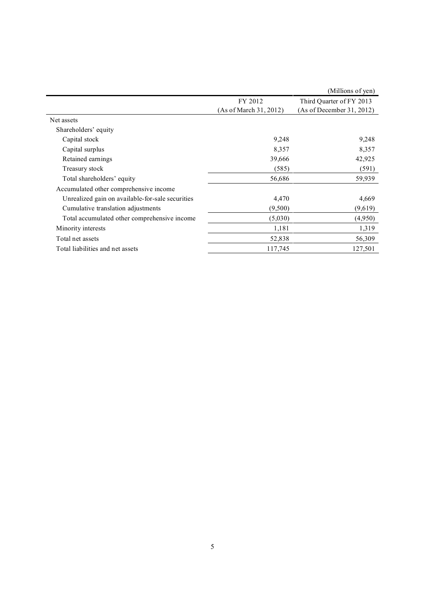|                                                  |                        | (Millions of yen)         |
|--------------------------------------------------|------------------------|---------------------------|
|                                                  | FY 2012                | Third Quarter of FY 2013  |
|                                                  | (As of March 31, 2012) | (As of December 31, 2012) |
| Net assets                                       |                        |                           |
| Shareholders' equity                             |                        |                           |
| Capital stock                                    | 9,248                  | 9,248                     |
| Capital surplus                                  | 8,357                  | 8,357                     |
| Retained earnings                                | 39,666                 | 42,925                    |
| Treasury stock                                   | (585)                  | (591)                     |
| Total shareholders' equity                       | 56,686                 | 59,939                    |
| Accumulated other comprehensive income           |                        |                           |
| Unrealized gain on available-for-sale securities | 4,470                  | 4,669                     |
| Cumulative translation adjustments               | (9,500)                | (9,619)                   |
| Total accumulated other comprehensive income     | (5,030)                | (4,950)                   |
| Minority interests                               | 1,181                  | 1,319                     |
| Total net assets                                 | 52,838                 | 56,309                    |
| Total liabilities and net assets                 | 117,745                | 127,501                   |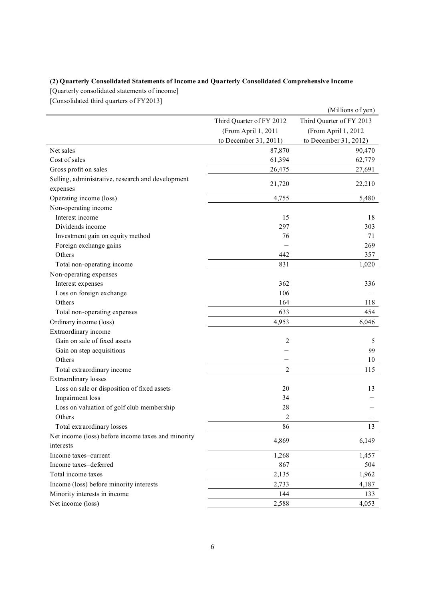## **(2) Quarterly Consolidated Statements of Income and Quarterly Consolidated Comprehensive Income**

[Quarterly consolidated statements of income]

[Consolidated third quarters of FY2013]

|                                                    |                          | (Millions of yen)        |
|----------------------------------------------------|--------------------------|--------------------------|
|                                                    | Third Quarter of FY 2012 | Third Quarter of FY 2013 |
|                                                    | (From April 1, 2011      | (From April 1, 2012      |
|                                                    | to December 31, 2011)    | to December 31, 2012)    |
| Net sales                                          | 87,870                   | 90,470                   |
| Cost of sales                                      | 61,394                   | 62,779                   |
| Gross profit on sales                              | 26,475                   | 27,691                   |
| Selling, administrative, research and development  |                          |                          |
| expenses                                           | 21,720                   | 22,210                   |
| Operating income (loss)                            | 4,755                    | 5,480                    |
| Non-operating income                               |                          |                          |
| Interest income                                    | 15                       | 18                       |
| Dividends income                                   | 297                      | 303                      |
| Investment gain on equity method                   | 76                       | 71                       |
| Foreign exchange gains                             |                          | 269                      |
| Others                                             | 442                      | 357                      |
| Total non-operating income                         | 831                      | 1,020                    |
| Non-operating expenses                             |                          |                          |
| Interest expenses                                  | 362                      | 336                      |
| Loss on foreign exchange                           | 106                      |                          |
| Others                                             | 164                      | 118                      |
| Total non-operating expenses                       | 633                      | 454                      |
| Ordinary income (loss)                             | 4,953                    | 6,046                    |
| Extraordinary income                               |                          |                          |
| Gain on sale of fixed assets                       | 2                        | 5                        |
| Gain on step acquisitions                          |                          | 99                       |
| Others                                             |                          | 10                       |
| Total extraordinary income                         | 2                        | 115                      |
| Extraordinary losses                               |                          |                          |
| Loss on sale or disposition of fixed assets        | 20                       | 13                       |
| Impairment loss                                    | 34                       |                          |
| Loss on valuation of golf club membership          | 28                       |                          |
| Others                                             | $\overline{c}$           |                          |
| Total extraordinary losses                         | 86                       | 13                       |
| Net income (loss) before income taxes and minority |                          |                          |
| interests                                          | 4,869                    | 6,149                    |
| Income taxes-current                               | 1,268                    | 1,457                    |
| Income taxes-deferred                              | 867                      | 504                      |
| Total income taxes                                 | 2,135                    | 1,962                    |
| Income (loss) before minority interests            | 2,733                    | 4,187                    |
| Minority interests in income                       | 144                      | 133                      |
| Net income (loss)                                  | 2,588                    | 4,053                    |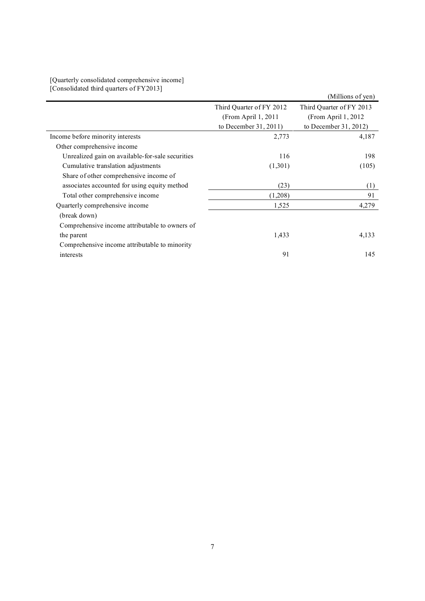| [Quarterly consolidated comprehensive income] |  |
|-----------------------------------------------|--|
| [Consolidated third quarters of FY2013]       |  |

|                                                  |                          | (Millions of yen)        |
|--------------------------------------------------|--------------------------|--------------------------|
|                                                  | Third Quarter of FY 2012 | Third Quarter of FY 2013 |
|                                                  | (From April 1, 2011      | (From April 1, 2012      |
|                                                  | to December 31, 2011)    | to December 31, 2012)    |
| Income before minority interests                 | 2,773                    | 4,187                    |
| Other comprehensive income                       |                          |                          |
| Unrealized gain on available-for-sale securities | 116                      | 198                      |
| Cumulative translation adjustments               | (1,301)                  | (105)                    |
| Share of other comprehensive income of           |                          |                          |
| associates accounted for using equity method     | (23)                     | (1)                      |
| Total other comprehensive income                 | (1,208)                  | 91                       |
| Quarterly comprehensive income                   | 1,525                    | 4,279                    |
| (break down)                                     |                          |                          |
| Comprehensive income attributable to owners of   |                          |                          |
| the parent                                       | 1,433                    | 4,133                    |
| Comprehensive income attributable to minority    |                          |                          |
| interests                                        | 91                       | 145                      |
|                                                  |                          |                          |